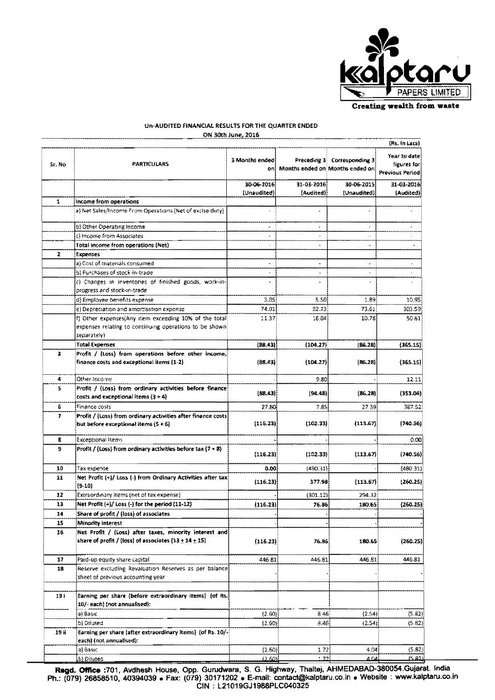

 $(365.15)$ 

 $(365.15)$ 

 $(353.04)$ 

 $387.52$ 

 $(740.56)$ 

 $(740.56)$ 

 $(480.31)$ 

 $[260.25]$ 

 $(260.25)$ 

 $(260.25)$ 

 $446.81$ 

 $(5.82)$ 

 $(5.82)$ 

 $0.00$ 

 $\frac{1}{2739}$ 

 $(113.67)$ 

 $(113.67)$ 

 $(113.67)$ 

294.32

180.65

180.65

446.81

 $(2.54)$  $(2.54)$   $12.11$ 

| Un-AUDITED FINANCIAL RESULTS FOR THE QUARTER ENDED |                                                                                                                                |                       |                       |                                                    |                                                       |  |  |  |  |  |
|----------------------------------------------------|--------------------------------------------------------------------------------------------------------------------------------|-----------------------|-----------------------|----------------------------------------------------|-------------------------------------------------------|--|--|--|--|--|
|                                                    |                                                                                                                                | ON 30th June, 2016    |                       |                                                    |                                                       |  |  |  |  |  |
|                                                    |                                                                                                                                |                       |                       |                                                    |                                                       |  |  |  |  |  |
| Sr. No                                             | <b>PARTICULARS</b>                                                                                                             | 3 Months ended<br>oni | Preceding 3           | Corresponding 3<br>Months ended on Months ended on | Year to date<br>figures for<br><b>Previous Period</b> |  |  |  |  |  |
|                                                    |                                                                                                                                | 30-06-2016            | 31-03-2016            | 30-06-2015                                         | 31-03-2016                                            |  |  |  |  |  |
|                                                    |                                                                                                                                | (Unaudited)           | (Audited)             | (Unaudited)                                        | (Audited)                                             |  |  |  |  |  |
| $\mathbf{1}$                                       | Income from operations                                                                                                         |                       |                       |                                                    |                                                       |  |  |  |  |  |
|                                                    | a) Net Sales/Income From Operations (Net of excise duty).                                                                      |                       | $\sim$                |                                                    |                                                       |  |  |  |  |  |
|                                                    | b) Other Operating Income                                                                                                      | ٠                     | $\Delta$              |                                                    |                                                       |  |  |  |  |  |
|                                                    | c) Income from Associates                                                                                                      | w.                    | $\star$               | ÷                                                  |                                                       |  |  |  |  |  |
|                                                    | Total income from operations (Net)                                                                                             |                       | $\overline{a}$        | ۰                                                  |                                                       |  |  |  |  |  |
| 2                                                  | Expenses                                                                                                                       |                       |                       |                                                    |                                                       |  |  |  |  |  |
|                                                    | a) Cost of materials consumed                                                                                                  | $\blacksquare$        | $\ddot{\phantom{a}}$  | $\blacksquare$                                     |                                                       |  |  |  |  |  |
|                                                    | b) Purchases of stock-in-trade                                                                                                 |                       | $\tilde{\phantom{a}}$ | ÷                                                  |                                                       |  |  |  |  |  |
|                                                    | c) Changes in inventories of finished goods, work-in-<br>progress and stock-in-trade                                           |                       | $\omega$              |                                                    |                                                       |  |  |  |  |  |
|                                                    | d) Employee benefits expense                                                                                                   | 3.05                  | 5.50                  | 1.89                                               | 10.95                                                 |  |  |  |  |  |
|                                                    | e) Depreciation and amortisation expense                                                                                       | 74.01                 | 82.73                 | 73.61                                              | 303.59                                                |  |  |  |  |  |
|                                                    | f) Other expenses(Any item exceeding 10% of the total<br>expenses relating to continuing operations to be shown<br>separately) | 11.37                 | 16.04                 | 10.78                                              | 50.61                                                 |  |  |  |  |  |
|                                                    | <b>Total Expenses</b>                                                                                                          | (88.43)               | (104.27)              | (86.28)                                            | (365.15)                                              |  |  |  |  |  |
| з                                                  | Profit / (Loss) from operations before other income,<br>finance costs and exceptional items (1-2)                              | (88.43)               | (104.27)              | (86.28)                                            | (365.15)                                              |  |  |  |  |  |
| 4                                                  | Other Income                                                                                                                   |                       | 9.80                  |                                                    | 12.11                                                 |  |  |  |  |  |
| 5.                                                 | Profit / (Loss) from ordinary activities before finance<br>الأفاري والأناب والمتواطئ المتواطئ فتستحدث والمستحدرة               | (88.431)              | (94.48)               | (86, 28)                                           | (353.04)                                              |  |  |  |  |  |

6

7

 $\overline{\mathbf{g}}$ 

9

 $10$ 

 $\overline{11}$ 

 $\overline{12}$ 

 $\overline{13}$ 

 $\overline{14}$ 

 $15$ 

 $\overline{16}$ 

 $\overline{17}$ 

 $\overline{18}$ 

 $\overline{19i}$ 

 $19i$ 

costs and exceptional items  $(3 + 4)$ 

but before exceptional items (5 + 6)

Extraordinary items (net of tax expense)

Share of profit / (loss) of associates

Paid-up equity share capital

10/- each) (not annualised):

sheet of previous accounting year

Net Profit (+)/ Loss (-) for the period (11-12)

Profit / (Loss) from ordinary activities after finance costs

Profit / (Loss) from ordinary activities before  $\tan (7 + 8)$ 

Net Profit (+)/ Loss (-) from Ordinary Activities after tax

Net Profit / (Loss) after taxes, minority interest and share of profit / (loss) of associates  $(13 \pm 14 \pm 15)$ 

Reserve excluding Revaluation Reserves as per balance

Earning per share (before extraordinary items) (of Rs.

Earning per share (after extraordinary items) (of Rs. 10/-

Finance costs

Exceptional Items

**Minority interest** 

Tax expense

 $(9-10)$ 

a) Basic

b) Diluted

|                                                                                                                                                                                                                                                                 | each) inot annualised): |        |            |       |        |  |  |  |  |  |
|-----------------------------------------------------------------------------------------------------------------------------------------------------------------------------------------------------------------------------------------------------------------|-------------------------|--------|------------|-------|--------|--|--|--|--|--|
|                                                                                                                                                                                                                                                                 | lai Basic-              | (2.60) | $1.72^{+}$ | 4.04  | (5.82) |  |  |  |  |  |
|                                                                                                                                                                                                                                                                 | b) Diluted              | 12.60H | フラ         | 4 O.U | 75.991 |  |  |  |  |  |
| Regd. Office : 701, Avdhesh House, Opp. Gurudwara, S. G. Highway, Thaltej, AHMEDABAD-380054.Gujarat. India<br>Ph.: (079) 26858510, 40394039 · Fax: (079) 30171202 · E-mail: contact@kalptaru.co.in · Website : www.kalptaru.co.in<br>CIN: L21019GJ1988PLC040325 |                         |        |            |       |        |  |  |  |  |  |

 $27.80$ 

 $(116.23)$ 

 $(116.23)$ 

 $(116.23)$ 

 $(116.23)$ 

 $(116.23)$ 

446.81

 $(2.60)$ 

 $(2.60)$ 

 $\overline{0.00}$ 

 $785$ 

 $(102.33)$ 

 $(102.33)$ 

 $(480.31)$ 

377.98

 $(301.12)$ 

76.86

76.86

 $446.81$ 

 $846$ 

 $8.46$